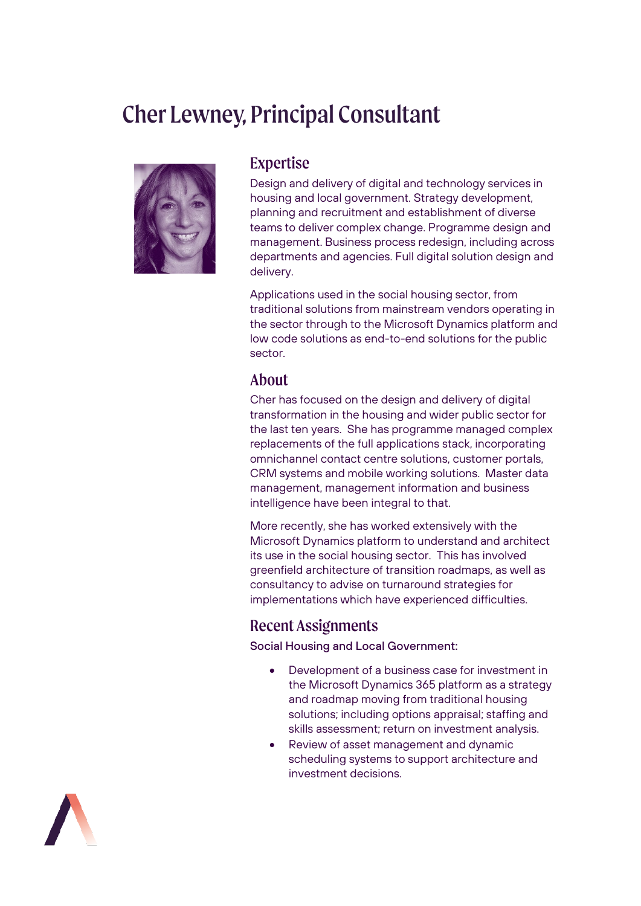# Cher Lewney, Principal Consultant



#### Expertise

Design and delivery of digital and technology services in housing and local government. Strategy development, planning and recruitment and establishment of diverse teams to deliver complex change. Programme design and management. Business process redesign, including across departments and agencies. Full digital solution design and delivery.

Applications used in the social housing sector, from traditional solutions from mainstream vendors operating in the sector through to the Microsoft Dynamics platform and low code solutions as end-to-end solutions for the public sector.

#### About

Cher has focused on the design and delivery of digital transformation in the housing and wider public sector for the last ten years. She has programme managed complex replacements of the full applications stack, incorporating omnichannel contact centre solutions, customer portals, CRM systems and mobile working solutions. Master data management, management information and business intelligence have been integral to that.

More recently, she has worked extensively with the Microsoft Dynamics platform to understand and architect its use in the social housing sector. This has involved greenfield architecture of transition roadmaps, as well as consultancy to advise on turnaround strategies for implementations which have experienced difficulties.

## Recent Assignments

Social Housing and Local Government:

- Development of a business case for investment in the Microsoft Dynamics 365 platform as a strategy and roadmap moving from traditional housing solutions; including options appraisal; staffing and skills assessment; return on investment analysis.
- Review of asset management and dynamic scheduling systems to support architecture and investment decisions.